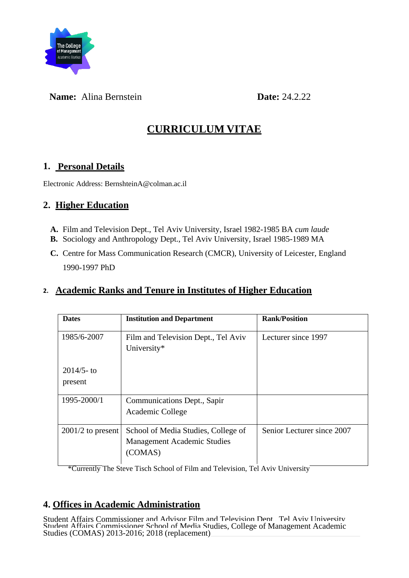

## **Name:** Alina Bernstein **Date:** 24.2.22

# **CURRICULUM VITAE**

## **1. Personal Details**

Electronic Address: BernshteinA@colman.ac.il

## **2. Higher Education**

- **A.** Film and Television Dept., Tel Aviv University, Israel 1982-1985 BA *cum laude*
- **B.** Sociology and Anthropology Dept., Tel Aviv University, Israel 1985-1989 MA
- **C.** Centre for Mass Communication Research (CMCR), University of Leicester, England 1990-1997 PhD

## **2. Academic Ranks and Tenure in Institutes of Higher Education**

| <b>Dates</b>            | <b>Institution and Department</b>                                                    | <b>Rank/Position</b>       |
|-------------------------|--------------------------------------------------------------------------------------|----------------------------|
| 1985/6-2007             | Film and Television Dept., Tel Aviv<br>University*                                   | Lecturer since 1997        |
| $2014/5$ -to<br>present |                                                                                      |                            |
| 1995-2000/1             | Communications Dept., Sapir<br>Academic College                                      |                            |
| $2001/2$ to present     | School of Media Studies, College of<br><b>Management Academic Studies</b><br>(COMAS) | Senior Lecturer since 2007 |

\*Currently The Steve Tisch School of Film and Television, Tel Aviv University

## **4. Offices in Academic Administration**

Student Affairs Commissioner and Advisor Film and Television Dept., Tel Aviv University Student Affairs Commissioner School of Media Studies, College of Management Academic Studies (COMAS) 2013-2016; 2018 (replacement)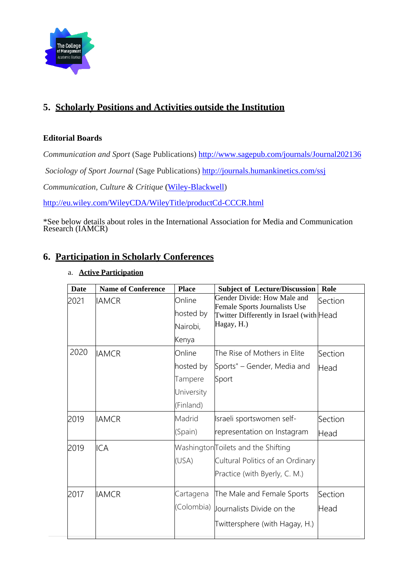

# **5. Scholarly Positions and Activities outside the Institution**

### **Editorial Boards**

*Communication and Sport* (Sage Publications) <http://www.sagepub.com/journals/Journal202136>

*Sociology of Sport Journal* (Sage Publications) <http://journals.humankinetics.com/ssj>

*Communication, Culture & Critique* [\(Wiley-Blackwell\)](http://en.wikipedia.org/wiki/Wiley-Blackwell)

<http://eu.wiley.com/WileyCDA/WileyTitle/productCd-CCCR.html>

\*See below details about roles in the International Association for Media and Communication Research (IAMCR)

### **6. Participation in Scholarly Conferences**

### a. **Active Participation**

| <b>Date</b> | <b>Name of Conference</b> | <b>Place</b> | <b>Subject of Lecture/Discussion</b>                         | Role    |
|-------------|---------------------------|--------------|--------------------------------------------------------------|---------|
| 2021        | <b>IAMCR</b>              | Online       | Gender Divide: How Male and<br>Female Sports Journalists Use | Section |
|             |                           | hosted by    | Twitter Differently in Israel (with Head                     |         |
|             |                           | Nairobi,     | Hagay, H.)                                                   |         |
|             |                           | Kenya        |                                                              |         |
| 2020        | <b>IAMCR</b>              | Online       | The Rise of Mothers in Elite                                 | Section |
|             |                           | hosted by    | Sports" – Gender, Media and                                  | Head    |
|             |                           | Tampere      | Sport                                                        |         |
|             |                           | University   |                                                              |         |
|             |                           | (Finland)    |                                                              |         |
| 2019        | <b>IAMCR</b>              | Madrid       | Israeli sportswomen self-                                    | Section |
|             |                           | (Spain)      | representation on Instagram                                  | Head    |
| 2019        | ICA                       |              | Washington Toilets and the Shifting                          |         |
|             |                           | (USA)        | Cultural Politics of an Ordinary                             |         |
|             |                           |              | Practice (with Byerly, C. M.)                                |         |
| 2017        | <b>IAMCR</b>              | Cartagena    | The Male and Female Sports                                   | Section |
|             |                           | (Colombia)   | Journalists Divide on the                                    | Head    |
|             |                           |              | Twittersphere (with Hagay, H.)                               |         |
|             |                           |              |                                                              |         |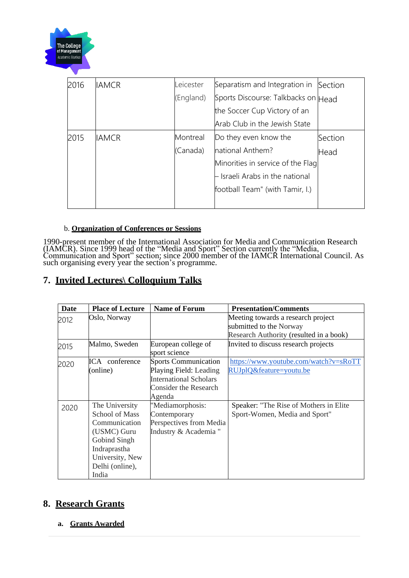

| 2016 | <b>IAMCR</b> | Leicester | Separatism and Integration in       | Section |
|------|--------------|-----------|-------------------------------------|---------|
|      |              | (England) | Sports Discourse: Talkbacks on Head |         |
|      |              |           | the Soccer Cup Victory of an        |         |
|      |              |           | Arab Club in the Jewish State       |         |
| 2015 | <b>IAMCR</b> | Montreal  | Do they even know the               | Section |
|      |              | (Canada)  | national Anthem?                    | Head    |
|      |              |           | Minorities in service of the Flag   |         |
|      |              |           | Israeli Arabs in the national       |         |
|      |              |           | football Team" (with Tamir, I.)     |         |
|      |              |           |                                     |         |

#### b. **Organization of Conferences or Sessions**

1990-present member of the International Association for Media and Communication Research (IAMCR). Since 1999 head of the "Media and Sport" Section currently the "Media, Communication and Sport" section; since 2000 member of the IAMCR International Council. As such organising every year the section's programme.

## **7. Invited Lectures\ Colloquium Talks**

| <b>Date</b> | <b>Place of Lecture</b> | <b>Name of Forum</b>          | <b>Presentation/Comments</b>            |
|-------------|-------------------------|-------------------------------|-----------------------------------------|
| 2012        | Oslo, Norway            |                               | Meeting towards a research project      |
|             |                         |                               | submitted to the Norway                 |
|             |                         |                               | Research Authority (resulted in a book) |
| 2015        | Malmo, Sweden           | European college of           | Invited to discuss research projects    |
|             |                         | sport science                 |                                         |
| 2020        | ICA conference          | <b>Sports Communication</b>   | https://www.youtube.com/watch?v=sRoTT   |
|             | (online)                | Playing Field: Leading        | RUJplQ&feature=youtu.be                 |
|             |                         | <b>International Scholars</b> |                                         |
|             |                         | <b>Consider the Research</b>  |                                         |
|             |                         | Agenda                        |                                         |
| 2020        | The University          | "Mediamorphosis:              | Speaker: "The Rise of Mothers in Elite  |
|             | <b>School of Mass</b>   | Contemporary                  | Sport-Women, Media and Sport"           |
|             | Communication           | Perspectives from Media       |                                         |
|             | (USMC) Guru             | Industry & Academia "         |                                         |
|             | Gobind Singh            |                               |                                         |
|             | Indraprastha            |                               |                                         |
|             | University, New         |                               |                                         |
|             | Delhi (online),         |                               |                                         |
|             | India                   |                               |                                         |

### **8. Research Grants**

**a. Grants Awarded**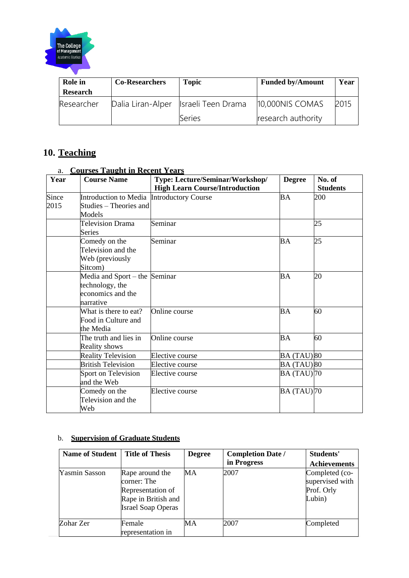

| Role in         | <b>Co-Researchers</b> | <b>Topic</b>                           | <b>Funded by/Amount</b> | Year |
|-----------------|-----------------------|----------------------------------------|-------------------------|------|
| <b>Research</b> |                       |                                        |                         |      |
| Researcher      |                       | Dalia Liran-Alper   Israeli Teen Drama | 10,000NIS COMAS         | 2015 |
|                 |                       | Series                                 | research authority      |      |

# **10. Teaching**

| Year  | <u>Courses Tuacht in Tiecent Teams</u><br><b>Course Name</b> | Type: Lecture/Seminar/Workshop/       | <b>Degree</b>                 | No. of          |
|-------|--------------------------------------------------------------|---------------------------------------|-------------------------------|-----------------|
|       |                                                              | <b>High Learn Course/Introduction</b> |                               | <b>Students</b> |
| Since | Introduction to Media                                        | <b>Introductory Course</b>            | <b>BA</b>                     | 200             |
| 2015  | Studies – Theories and                                       |                                       |                               |                 |
|       | Models                                                       |                                       |                               |                 |
|       | <b>Television Drama</b>                                      | Seminar                               |                               | 25              |
|       | <b>Series</b>                                                |                                       |                               |                 |
|       | Comedy on the                                                | Seminar                               | <b>BA</b>                     | 25              |
|       | Television and the                                           |                                       |                               |                 |
|       | Web (previously                                              |                                       |                               |                 |
|       | Sitcom)                                                      |                                       |                               |                 |
|       | Media and Sport – the Seminar                                |                                       | <b>BA</b>                     | 20              |
|       | technology, the                                              |                                       |                               |                 |
|       | economics and the                                            |                                       |                               |                 |
|       | narrative                                                    |                                       |                               |                 |
|       | What is there to eat?                                        | Online course                         | <b>BA</b>                     | 60              |
|       | Food in Culture and                                          |                                       |                               |                 |
|       | the Media                                                    |                                       |                               |                 |
|       | The truth and lies in                                        | Online course                         | <b>BA</b>                     | 60              |
|       | <b>Reality shows</b>                                         |                                       |                               |                 |
|       | <b>Reality Television</b>                                    | Elective course                       | BA (TAU) 80                   |                 |
|       | <b>British Television</b>                                    | Elective course                       | BA (TAU) 80                   |                 |
|       | Sport on Television                                          | Elective course                       | <b>BA</b> (TAU) <sup>70</sup> |                 |
|       | and the Web                                                  |                                       |                               |                 |
|       | Comedy on the                                                | Elective course                       | $BA(TAU)$ 70                  |                 |
|       | Television and the                                           |                                       |                               |                 |
|       | Web                                                          |                                       |                               |                 |

### a. **Courses Taught in Recent Years**

#### b. **Supervision of Graduate Students**

| <b>Name of Student</b> | <b>Title of Thesis</b>                                                                                  | <b>Degree</b> | <b>Completion Date /</b><br>in Progress | Students'                                                 |
|------------------------|---------------------------------------------------------------------------------------------------------|---------------|-----------------------------------------|-----------------------------------------------------------|
|                        |                                                                                                         |               |                                         | <b>Achievements</b>                                       |
| <b>Yasmin Sasson</b>   | Rape around the<br>corner: The<br>Representation of<br>Rape in British and<br><b>Israel Soap Operas</b> | MA            | 2007                                    | Completed (co-<br>supervised with<br>Prof. Orly<br>Lubin) |
| Zohar Zer              | Female<br>representation in                                                                             | MА            | 2007                                    | Completed                                                 |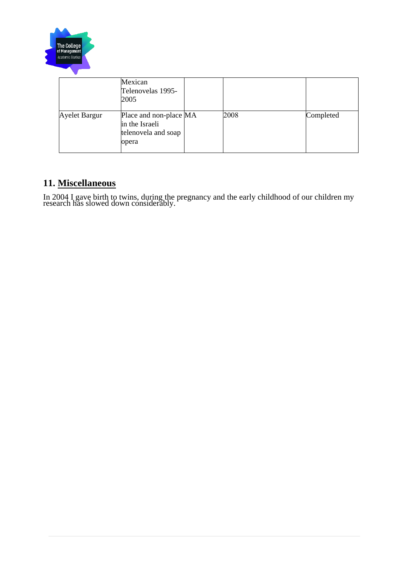

|               | Mexican<br>Telenovelas 1995-<br>2005                                     |      |           |
|---------------|--------------------------------------------------------------------------|------|-----------|
| Ayelet Bargur | Place and non-place MA<br>in the Israeli<br>telenovela and soap<br>opera | 2008 | Completed |

## **11. Miscellaneous**

In 2004 I gave birth to twins, during the pregnancy and the early childhood of our children my research has slowed down considerably.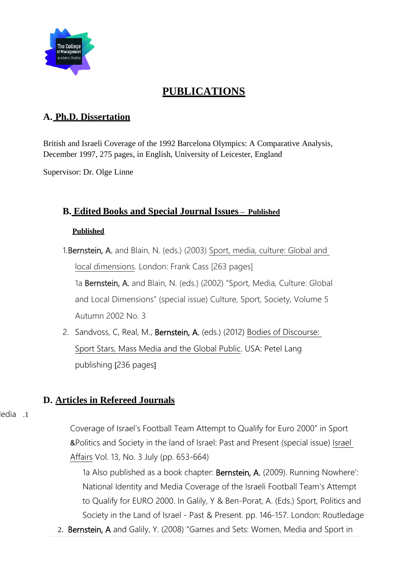

# **PUBLICATIONS**

## **A. Ph.D. Dissertation**

British and Israeli Coverage of the 1992 Barcelona Olympics: A Comparative Analysis, December 1997, 275 pages, in English, University of Leicester, England

Supervisor: Dr. Olge Linne

## **B. Edited Books and Special Journal Issues – Published**

### **Published**

1.Bernstein, A. and Blain, N. (eds.) (2003) Sport, media, culture: Global and local dimensions. London: Frank Cass [263 pages]

1a Bernstein, A. and Blain, N. (eds.) (2002) "Sport, Media, Culture: Global and Local Dimensions" (special issue) Culture, Sport, Society, Volume 5 Autumn 2002 No. 3

2. Sandvoss, C, Real, M., Bernstein, A. (eds.) (2012) Bodies of Discourse: Sport Stars, Mass Media and the Global Public. USA: Petel Lang publishing [236 pages]

## **D. Articles in Refereed Journals**

edia .1

Coverage of Israel's Football Team Attempt to Qualify for Euro 2000" in Sport &Politics and Society in the land of Israel: Past and Present (special issue) Israel Affairs Vol. 13, No. 3 July (pp. 653-664)

1a Also published as a book chapter: Bernstein, A. (2009). Running Nowhere': National Identity and Media Coverage of the Israeli Football Team's Attempt to Qualify for EURO 2000. In Galily, Y & Ben-Porat, A. (Eds.) Sport, Politics and Society in the Land of Israel - Past & Present. pp. 146-157. London: Routledage

2. Bernstein, A and Galily, Y. (2008) "Games and Sets: Women, Media and Sport in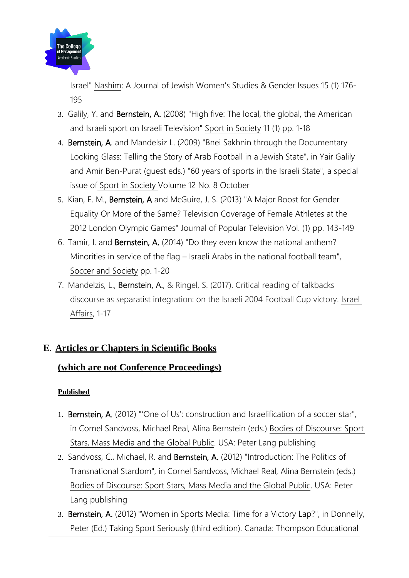

Israel" Nashim: A Journal of Jewish Women's Studies & Gender Issues 15 (1) 176- 195

- 3. Galily, Y. and Bernstein, A. (2008) "High five: The local, the global, the American and Israeli sport on Israeli Television" Sport in Society 11 (1) pp. 1-18
- 4. Bernstein, A. and Mandelsiz L. (2009) "Bnei Sakhnin through the Documentary Looking Glass: Telling the Story of Arab Football in a Jewish State", in Yair Galily and Amir Ben-Purat (guest eds.) "60 years of sports in the Israeli State", a special issue of Sport in Society Volume 12 No. 8 October
- 5. Kian, E. M., Bernstein, A and McGuire, J. S. (2013) "A Major Boost for Gender Equality Or More of the Same? Television Coverage of Female Athletes at the 2012 London Olympic Games" Journal of Popular Television Vol. (1) pp. 143-149
- 6. Tamir, I. and Bernstein, A. (2014) "Do they even know the national anthem? Minorities in service of the flag – Israeli Arabs in the national football team", Soccer and Society pp. 1-20
- 7. Mandelzis, L., Bernstein, A., & Ringel, S. (2017). Critical reading of talkbacks discourse as separatist integration: on the Israeli 2004 Football Cup victory. Israel Affairs, 1-17

## **E. Articles or Chapters in Scientific Books**

## **(which are not Conference Proceedings)**

### **Published**

- 1. Bernstein, A. (2012) "'One of Us': construction and Israelification of a soccer star", in Cornel Sandvoss, Michael Real, Alina Bernstein (eds.) Bodies of Discourse: Sport Stars, Mass Media and the Global Public. USA: Peter Lang publishing
- 2. Sandvoss, C., Michael, R. and Bernstein, A. (2012) "Introduction: The Politics of Transnational Stardom", in Cornel Sandvoss, Michael Real, Alina Bernstein (eds.) Bodies of Discourse: Sport Stars, Mass Media and the Global Public. USA: Peter Lang publishing
- 3. Bernstein, A. (2012) "Women in Sports Media: Time for a Victory Lap?", in Donnelly, Peter (Ed.) Taking Sport Seriously (third edition). Canada: Thompson Educational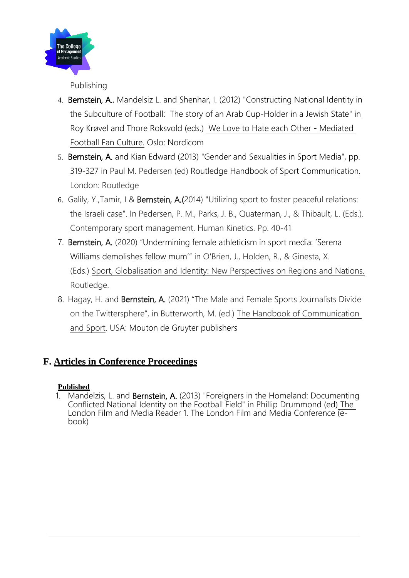

Publishing

- 4. Bernstein, A., Mandelsiz L. and Shenhar, I. (2012) "Constructing National Identity in the Subculture of Football: The story of an Arab Cup-Holder in a Jewish State" in Roy Krøvel and Thore Roksvold (eds.) We Love to Hate each Other - Mediated Football Fan Culture. Oslo: Nordicom
- 5. Bernstein, A. and Kian Edward (2013) "Gender and Sexualities in Sport Media", pp. 319-327 in Paul M. Pedersen (ed) Routledge Handbook of Sport Communication. London: Routledge
- 6. Galily, Y.,Tamir, I & Bernstein, A.(2014) "Utilizing sport to foster peaceful relations: the Israeli case". In Pedersen, P. M., Parks, J. B., Quaterman, J., & Thibault, L. (Eds.). Contemporary sport management. Human Kinetics. Pp. 40-41
- 7. Bernstein, A. (2020) "Undermining female athleticism in sport media: 'Serena Williams demolishes fellow mum'" in O'Brien, J., Holden, R., & Ginesta, X. (Eds.) Sport, Globalisation and Identity: New Perspectives on Regions and Nations. Routledge.
- 8. Hagay, H. and Bernstein, A. (2021) "The Male and Female Sports Journalists Divide on the Twittersphere", in Butterworth, M. (ed.) The Handbook of Communication and Sport. USA: Mouton de Gruyter publishers

## **F. Articles in Conference Proceedings**

### **Published**

1. Mandelzis, L. and Bernstein, A. (2013) "Foreigners in the Homeland: Documenting Conflicted National Identity on the Football Field" in Phillip Drummond (ed) The London Film and Media Reader 1. The London Film and Media Conference  $\overline{e}$ book)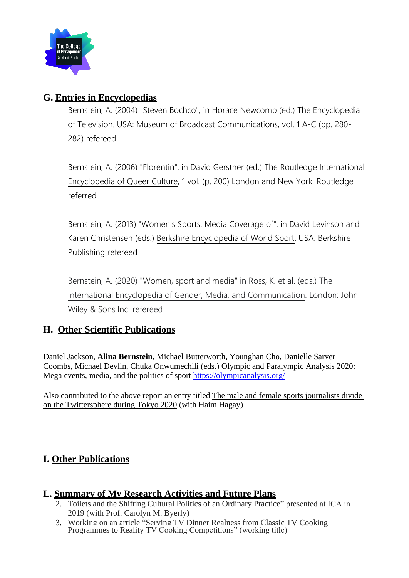

## **G. Entries in Encyclopedias**

Bernstein, A. (2004) "Steven Bochco", in Horace Newcomb (ed.) The Encyclopedia of Television. USA: Museum of Broadcast Communications, vol. 1 A-C (pp. 280- 282) refereed

Bernstein, A. (2006) "Florentin", in David Gerstner (ed.) The Routledge International Encyclopedia of Queer Culture, 1 vol. (p. 200) London and New York: Routledge referred

Bernstein, A. (2013) "Women's Sports, Media Coverage of", in David Levinson and Karen Christensen (eds.) Berkshire Encyclopedia of World Sport. USA: Berkshire Publishing refereed

Bernstein, A. (2020) "Women, sport and media" in Ross, K. et al. (eds.) The International Encyclopedia of Gender, Media, and Communication. London: John Wiley & Sons Inc refereed

## **H. Other Scientific Publications**

Daniel Jackson, **Alina Bernstein**, Michael Butterworth, Younghan Cho, Danielle Sarver Coombs, Michael Devlin, Chuka Onwumechili (eds.) Olympic and Paralympic Analysis 2020: Mega events, media, and the politics of sport <https://olympicanalysis.org/>

Also contributed to the above report an entry titled [The male and female sports journalists divide](https://olympicanalysis.org/section-2/the-male-and-female-sports-journalists-divide-on-the-twittersphere-during-tokyo-2020/)  [on the Twittersphere during Tokyo 2020](https://olympicanalysis.org/section-2/the-male-and-female-sports-journalists-divide-on-the-twittersphere-during-tokyo-2020/) (with Haim Hagay)

## **I. Other Publications**

### **L. Summary of My Research Activities and Future Plans**

- 2. Toilets and the Shifting Cultural Politics of an Ordinary Practice" presented at ICA in 2019 (with Prof. Carolyn M. Byerly)
- 3. Working on an article "Serving TV Dinner Realness from Classic TV Cooking Programmes to Reality TV Cooking Competitions" (working title)